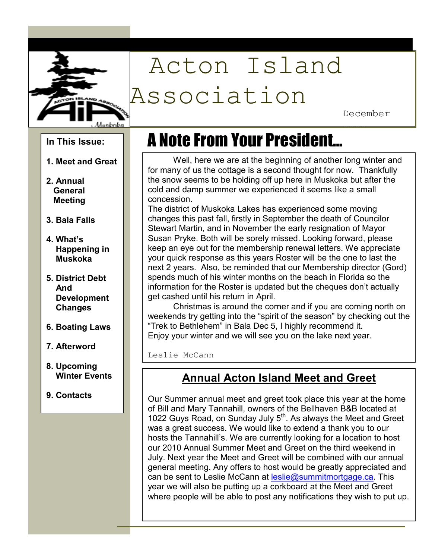

# Acton Island Association

December

2009

#### **In This Issue:**

- **1. Meet and Great**
- **Meeting 2. Annual General**
- **3. Bala Falls**
- **4. What's Happening in Muskoka**
- **5. District Debt And Development Changes**
- **6. Boating Laws**
- **7. Afterword**
- **8. Upcoming Winter Events**
- **9. Contacts**

## A Note From Your President…

Well, here we are at the beginning of another long winter and for many of us the cottage is a second thought for now. Thankfully the snow seems to be holding off up here in Muskoka but after the cold and damp summer we experienced it seems like a small concession.

The district of Muskoka Lakes has experienced some moving changes this past fall, firstly in September the death of Councilor Stewart Martin, and in November the early resignation of Mayor Susan Pryke. Both will be sorely missed. Looking forward, please keep an eye out for the membership renewal letters. We appreciate your quick response as this years Roster will be the one to last the next 2 years. Also, be reminded that our Membership director (Gord) spends much of his winter months on the beach in Florida so the information for the Roster is updated but the cheques don't actually get cashed until his return in April.

Christmas is around the corner and if you are coming north on weekends try getting into the "spirit of the season" by checking out the "Trek to Bethlehem" in Bala Dec 5, I highly recommend it. Enjoy your winter and we will see you on the lake next year.

Leslie McCann

#### **Annual Acton Island Meet and Greet**

Our Summer annual meet and greet took place this year at the home of Bill and Mary Tannahill, owners of the Bellhaven B&B located at 1022 Guys Road, on Sunday July  $5<sup>th</sup>$ . As always the Meet and Greet was a great success. We would like to extend a thank you to our hosts the Tannahill's. We are currently looking for a location to host our 2010 Annual Summer Meet and Greet on the third weekend in July. Next year the Meet and Greet will be combined with our annual general meeting. Any offers to host would be greatly appreciated and can be sent to Leslie McCann at leslie@summitmortgage.ca. This year we will also be putting up a corkboard at the Meet and Greet where people will be able to post any notifications they wish to put up.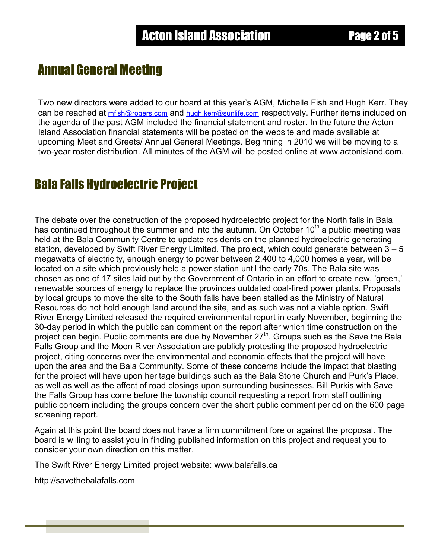## Annual General Meeting

Two new directors were added to our board at this year's AGM, Michelle Fish and Hugh Kerr. They can be reached at *mfish@rogers.com* and *hugh.kerr@sunlife.com* respectively. Further items included on the agenda of the past AGM included the financial statement and roster. In the future the Acton Island Association financial statements will be posted on the website and made available at upcoming Meet and Greets/ Annual General Meetings. Beginning in 2010 we will be moving to a two-year roster distribution. All minutes of the AGM will be posted online at www.actonisland.com.

### Bala Falls Hydroelectric Project

The debate over the construction of the proposed hydroelectric project for the North falls in Bala has continued throughout the summer and into the autumn. On October  $10<sup>th</sup>$  a public meeting was held at the Bala Community Centre to update residents on the planned hydroelectric generating station, developed by Swift River Energy Limited. The project, which could generate between 3 – 5 megawatts of electricity, enough energy to power between 2,400 to 4,000 homes a year, will be located on a site which previously held a power station until the early 70s. The Bala site was chosen as one of 17 sites laid out by the Government of Ontario in an effort to create new, 'green,' renewable sources of energy to replace the provinces outdated coal-fired power plants. Proposals by local groups to move the site to the South falls have been stalled as the Ministry of Natural Resources do not hold enough land around the site, and as such was not a viable option. Swift River Energy Limited released the required environmental report in early November, beginning the 30-day period in which the public can comment on the report after which time construction on the project can begin. Public comments are due by November 27<sup>th</sup>. Groups such as the Save the Bala Falls Group and the Moon River Association are publicly protesting the proposed hydroelectric project, citing concerns over the environmental and economic effects that the project will have upon the area and the Bala Community. Some of these concerns include the impact that blasting for the project will have upon heritage buildings such as the Bala Stone Church and Purk's Place, as well as well as the affect of road closings upon surrounding businesses. Bill Purkis with Save the Falls Group has come before the township council requesting a report from staff outlining public concern including the groups concern over the short public comment period on the 600 page screening report.

Again at this point the board does not have a firm commitment fore or against the proposal. The board is willing to assist you in finding published information on this project and request you to consider your own direction on this matter.

The Swift River Energy Limited project website: www.balafalls.ca

http://savethebalafalls.com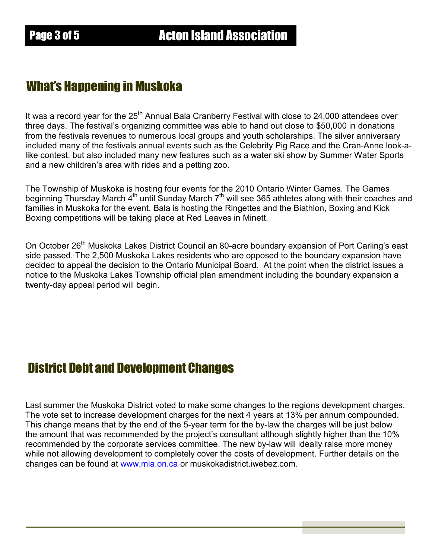### What's Happening in Muskoka

It was a record year for the  $25<sup>th</sup>$  Annual Bala Cranberry Festival with close to 24,000 attendees over three days. The festival's organizing committee was able to hand out close to \$50,000 in donations from the festivals revenues to numerous local groups and youth scholarships. The silver anniversary included many of the festivals annual events such as the Celebrity Pig Race and the Cran-Anne look-alike contest, but also included many new features such as a water ski show by Summer Water Sports and a new children's area with rides and a petting zoo.

The Township of Muskoka is hosting four events for the 2010 Ontario Winter Games. The Games beginning Thursday March 4<sup>th</sup> until Sunday March 7<sup>th</sup> will see 365 athletes along with their coaches and families in Muskoka for the event. Bala is hosting the Ringettes and the Biathlon, Boxing and Kick Boxing competitions will be taking place at Red Leaves in Minett.

On October 26<sup>th</sup> Muskoka Lakes District Council an 80-acre boundary expansion of Port Carling's east side passed. The 2,500 Muskoka Lakes residents who are opposed to the boundary expansion have decided to appeal the decision to the Ontario Municipal Board. At the point when the district issues a notice to the Muskoka Lakes Township official plan amendment including the boundary expansion a twenty-day appeal period will begin.

### District Debt and Development Changes

Last summer the Muskoka District voted to make some changes to the regions development charges. The vote set to increase development charges for the next 4 years at 13% per annum compounded. This change means that by the end of the 5-year term for the by-law the charges will be just below the amount that was recommended by the project's consultant although slightly higher than the 10% recommended by the corporate services committee. The new by-law will ideally raise more money while not allowing development to completely cover the costs of development. Further details on the changes can be found at www.mla.on.ca or muskokadistrict.iwebez.com.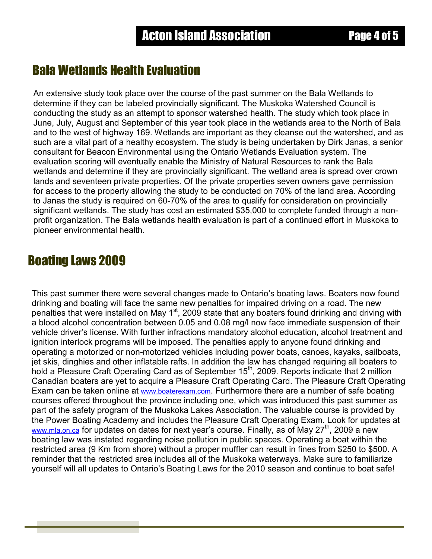#### Bala Wetlands Health Evaluation

An extensive study took place over the course of the past summer on the Bala Wetlands to determine if they can be labeled provincially significant. The Muskoka Watershed Council is conducting the study as an attempt to sponsor watershed health. The study which took place in June, July, August and September of this year took place in the wetlands area to the North of Bala and to the west of highway 169. Wetlands are important as they cleanse out the watershed, and as such are a vital part of a healthy ecosystem. The study is being undertaken by Dirk Janas, a senior consultant for Beacon Environmental using the Ontario Wetlands Evaluation system. The evaluation scoring will eventually enable the Ministry of Natural Resources to rank the Bala wetlands and determine if they are provincially significant. The wetland area is spread over crown lands and seventeen private properties. Of the private properties seven owners gave permission for access to the property allowing the study to be conducted on 70% of the land area. According to Janas the study is required on 60-70% of the area to qualify for consideration on provincially significant wetlands. The study has cost an estimated \$35,000 to complete funded through a nonprofit organization. The Bala wetlands health evaluation is part of a continued effort in Muskoka to pioneer environmental health.

#### Boating Laws 2009

This past summer there were several changes made to Ontario's boating laws. Boaters now found drinking and boating will face the same new penalties for impaired driving on a road. The new penalties that were installed on May 1<sup>st</sup>, 2009 state that any boaters found drinking and driving with a blood alcohol concentration between 0.05 and 0.08 mg/l now face immediate suspension of their vehicle driver's license. With further infractions mandatory alcohol education, alcohol treatment and ignition interlock programs will be imposed. The penalties apply to anyone found drinking and operating a motorized or non-motorized vehicles including power boats, canoes, kayaks, sailboats, jet skis, dinghies and other inflatable rafts. In addition the law has changed requiring all boaters to hold a Pleasure Craft Operating Card as of September 15<sup>th</sup>, 2009. Reports indicate that 2 million Canadian boaters are yet to acquire a Pleasure Craft Operating Card. The Pleasure Craft Operating Exam can be taken online at www.boaterexam.com. Furthermore there are a number of safe boating courses offered throughout the province including one, which was introduced this past summer as part of the safety program of the Muskoka Lakes Association. The valuable course is provided by the Power Boating Academy and includes the Pleasure Craft Operating Exam. Look for updates at www.mla.on.ca for updates on dates for next year's course. Finally, as of May 27<sup>th</sup>, 2009 a new boating law was instated regarding noise pollution in public spaces. Operating a boat within the restricted area (9 Km from shore) without a proper muffler can result in fines from \$250 to \$500. A reminder that the restricted area includes all of the Muskoka waterways. Make sure to familiarize yourself will all updates to Ontario's Boating Laws for the 2010 season and continue to boat safe!